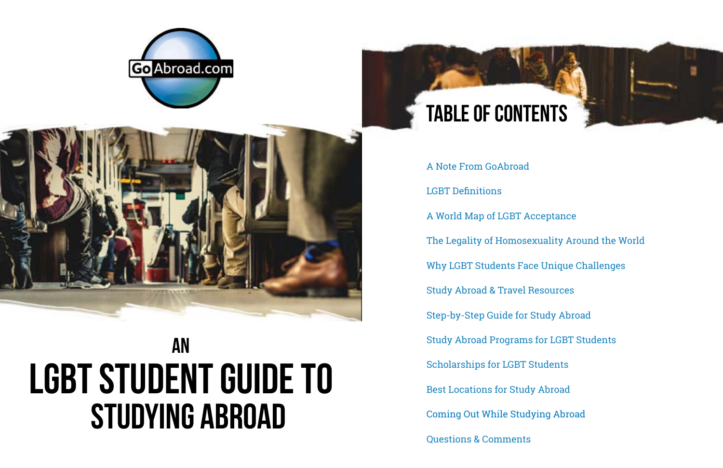- 
- [The Legality of Homosexuality Around the World](#page-2-0)
	-
	-
	-
	-
	-
	-
	-

[A Note From GoAbroad](#page-1-0) [LGBT Definitions](#page-1-0) [A World Map of LGBT Acceptance](#page-2-0) [Why LGBT Students Face Unique Challenges](#page-3-0) [Study Abroad & Travel Resources](#page-4-0) [Step-by-Step Guide for Study Abroad](#page-5-0) [Study Abroad Programs for LGBT Students](#page-6-0) [Scholarships for LGBT Students](#page-7-0) [Best Locations for Study Abroad](#page-9-0) [Coming Out While Studying Abroad](#page-12-0) [Questions & Comments](#page-10-0)







# **AN LGBT Student Guide TO STUDYING ABROAD**

# **Table of contents**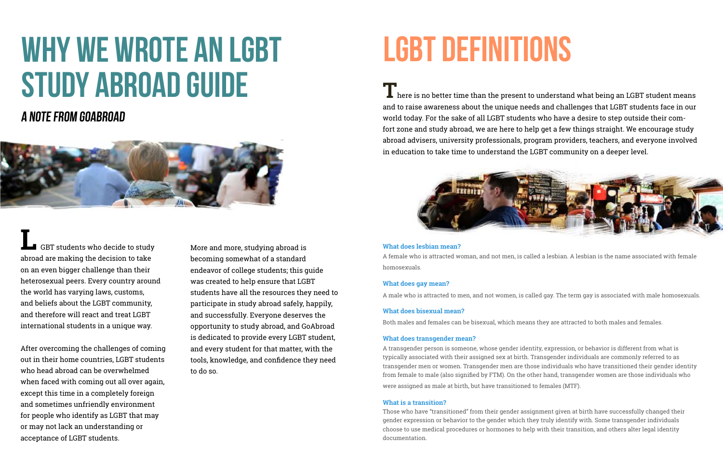# <span id="page-1-0"></span>**Why We Wrote an LGBT Study Abroad Guide**

# **A Note from GoAbroad**



**L** GBT students who decide to study abroad are making the decision to take on an even bigger challenge than their heterosexual peers. Every country around the world has varying laws, customs, and beliefs about the LGBT community, and therefore will react and treat LGBT international students in a unique way.

After overcoming the challenges of coming out in their home countries, LGBT students who head abroad can be overwhelmed when faced with coming out all over again, except this time in a completely foreign and sometimes unfriendly environment for people who identify as LGBT that may or may not lack an understanding or acceptance of LGBT students.

**T** here is no better time than the present to understand what being an LGBT student means and to raise awareness about the unique needs and challenges that LGBT students face in our world today. For the sake of all LGBT students who have a desire to step outside their comfort zone and study abroad, we are here to help get a few things straight. We encourage study abroad advisers, university professionals, program providers, teachers, and everyone involved in education to take time to understand the LGBT community on a deeper level.



More and more, studying abroad is becoming somewhat of a standard endeavor of college students; this guide was created to help ensure that LGBT students have all the resources they need to participate in study abroad safely, happily, and successfully. Everyone deserves the opportunity to study abroad, and GoAbroad is dedicated to provide every LGBT student, and every student for that matter, with the tools, knowledge, and confidence they need to do so.

# **What does lesbian mean?**

A female who is attracted woman, and not men, is called a lesbian. A lesbian is the name associated with female homosexuals.

# **What does gay mean?**

A male who is attracted to men, and not women, is called gay. The term gay is associated with male homosexuals.

# **What does bisexual mean?**

Both males and females can be bisexual, which means they are attracted to both males and females.

# **What does transgender mean?**

A transgender person is someone, whose gender identity, expression, or behavior is different from what is typically associated with their assigned sex at birth. Transgender individuals are commonly referred to as transgender men or women. Transgender men are those individuals who have transitioned their gender identity from female to male (also signified by FTM). On the other hand, transgender women are those individuals who were assigned as male at birth, but have transitioned to females (MTF).

## **What is a transition?**

Those who have "transitioned" from their gender assignment given at birth have successfully changed their gender expression or behavior to the gender which they truly identify with. Some transgender individuals choose to use medical procedures or hormones to help with their transition, and others alter legal identity documentation.

# **lgbt definitions**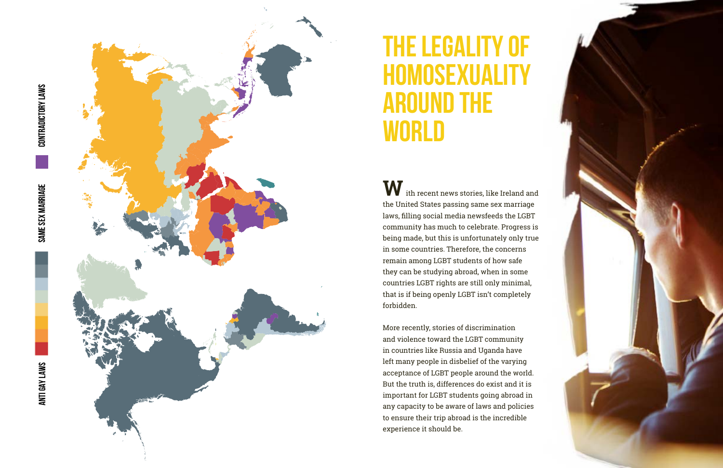SAME SEX MARRIAGE

<span id="page-2-0"></span>

 $\mathbf W$  ith recent news stories, like Ireland and the United States passing same sex marriage laws, filling social media newsfeeds the LGBT community has much to celebrate. Progress is being made, but this is unfortunately only true in some countries. Therefore, the concerns remain among LGBT students of how safe they can be studying abroad, when in some countries LGBT rights are still only minimal, that is if being openly LGBT isn't completely forbidden.

More recently, stories of discrimination and violence toward the LGBT community in countries like Russia and Uganda have left many people in disbelief of the varying acceptance of LGBT people around the world. But the truth is, differences do exist and it is important for LGBT students going abroad in any capacity to be aware of laws and policies to ensure their trip abroad is the incredible experience it should be.

# **The Legality of HomosexuaLITY Around the World**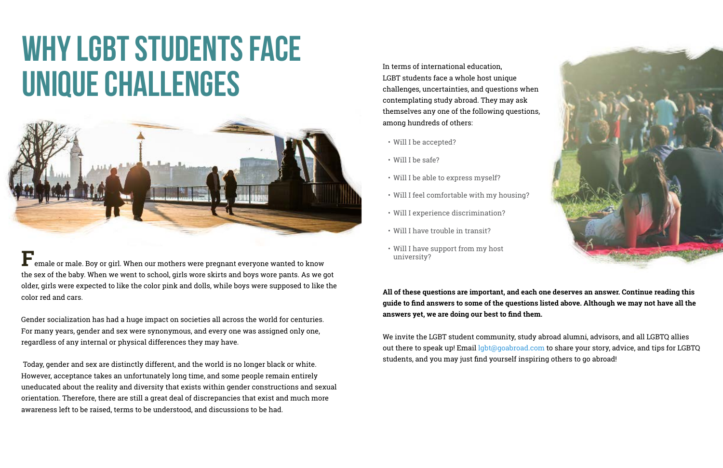In terms of international education, LGBT students face a whole host unique challenges, uncertainties, and questions when contemplating study abroad. They may ask themselves any one of the following questions, among hundreds of others:

- Will I be accepted?
- Will I be safe?
- Will I be able to express myself?
- Will I feel comfortable with my housing?
- Will I experience discrimination?
- Will I have trouble in transit?
- Will I have support from my host university?

**All of these questions are important, and each one deserves an answer. Continue reading this guide to find answers to some of the questions listed above. Although we may not have all the answers yet, we are doing our best to find them.**

We invite the LGBT student community, study abroad alumni, advisors, and all LGBTQ allies out there to speak up! Email [lgbt@goabroad.com](mailto:lgbt%40goabroad.com) to share your story, advice, and tips for LGBTQ students, and you may just find yourself inspiring others to go abroad!



# <span id="page-3-0"></span>**WHY LGBT STUDENTS FACE UNIQUE CHALLENGES**



**F**emale or male. Boy or girl. When our mothers were pregnant everyone wanted to know the sex of the baby. When we went to school, girls wore skirts and boys wore pants. As we got older, girls were expected to like the color pink and dolls, while boys were supposed to like the color red and cars.

Gender socialization has had a huge impact on societies all across the world for centuries. For many years, gender and sex were synonymous, and every one was assigned only one, regardless of any internal or physical differences they may have.

 Today, gender and sex are distinctly different, and the world is no longer black or white. However, acceptance takes an unfortunately long time, and some people remain entirely uneducated about the reality and diversity that exists within gender constructions and sexual orientation. Therefore, there are still a great deal of discrepancies that exist and much more awareness left to be raised, terms to be understood, and discussions to be had.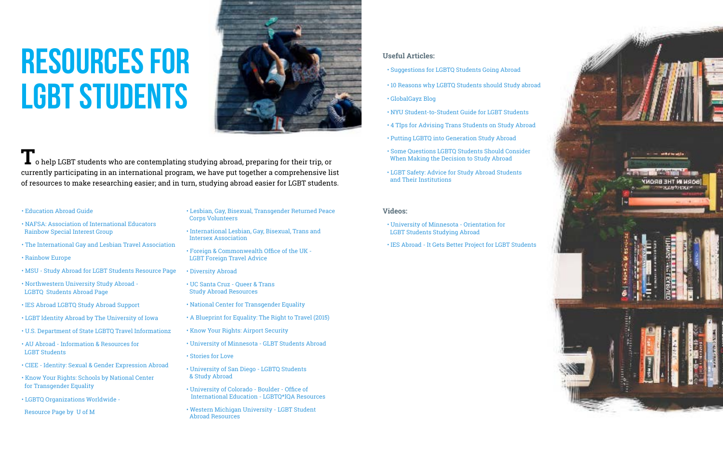# <span id="page-4-0"></span>**Resources for LGBT Students**



 $\blacksquare$  o help LGBT students who are contemplating studying abroad, preparing for their trip, or currently participating in an international program, we have put together a comprehensive list of resources to make researching easier; and in turn, studying abroad easier for LGBT students.

- • [Education Abroad Guide](https://educationabroad.global.usf.edu/_customtags/ct_FileRetrieve.cfm?File_ID=51978)
- [NAFSA: Association of International Educators](http://www.rainbowsig.org/us-students-abroad/)   [Rainbow Special Interest Group](http://www.rainbowsig.org/us-students-abroad/)
- [The International Gay and Lesbian Travel Association](http://www.iglta.org/)
- • [Rainbow Europe](http://rainbow-europe.org/)
- [MSU Study Abroad for LGBT Students Resource Page](http://studyabroad.isp.msu.edu/forms/glbt.html)
- [Northwestern University Study Abroad -](http://www.northwestern.edu/studyabroad/guide/identity-and-diversity/lgbtq-students-abroad/index.html) LGBTQ [Students Abroad Page](http://www.northwestern.edu/studyabroad/guide/identity-and-diversity/lgbtq-students-abroad/index.html)
- [IES Abroad LGBTQ Study Abroad Support](https://www.iesabroad.org/study-abroad/student-diversity-access/resources/lgbtq)
- [LGBT Identity Abroad by The University of Iowa](https://international.uiowa.edu/study-abroad/first-steps/identity/lgbt)
- [U.S. Department of State LGBTQ Travel Information](http://travel.state.gov/content/passports/english/go/lgbt.html)z
- [AU Abroad Information & Resources for](https://auabroad.american.edu/index.cfm%3FFuseAction%3DAbroad.ViewLink%26Parent_ID%3D50E8A88B-26B9-58D3-F57A2CE0E9C7F5C2%26Link_ID%3D50EB6F3D-26B9-58D3-F5FDA78368E81E25%26pID%3D9%26lID%3D21)   [LGBT Students](https://auabroad.american.edu/index.cfm%3FFuseAction%3DAbroad.ViewLink%26Parent_ID%3D50E8A88B-26B9-58D3-F57A2CE0E9C7F5C2%26Link_ID%3D50EB6F3D-26B9-58D3-F5FDA78368E81E25%26pID%3D9%26lID%3D21)
- [CIEE Identity: Sexual & Gender Expression Abroad](http://www.ciee.org/gap-year-abroad/downloads/school-resources/Identity.pdf)
- • [Know Your Rights: Schools by National Center](http://transequality.org/know-your-rights/schools)  [for Transgender Equality](http://transequality.org/know-your-rights/schools)
- [LGBTQ Organizations Worldwide](http://internationalspectrum.umich.edu/global/worldwideorgs)

 [Resource](http://internationalspectrum.umich.edu/global/worldwideorgs) Page by U of M

- [Lesbian, Gay, Bisexual, Transgender Returned Peace](http://lgbrpcv.org/)   [Corps Volunteers](http://lgbrpcv.org/)
- [International Lesbian, Gay, Bisexual, Trans and](http://ilga.org/)   [Intersex Association](http://ilga.org/)
- [Foreign & Commonwealth Office of the UK -](https://www.gov.uk/guidance/lesbian-gay-bisexual-and-transgender-foreign-travel-advice)  [LGBT Foreign Travel Advice](https://www.gov.uk/guidance/lesbian-gay-bisexual-and-transgender-foreign-travel-advice)
- [Diversity Abroad](http://www.diversityabroad.com/)
- [UC Santa Cruz Queer & Trans](http://ieo.ucsc.edu/programs-abroad/resources-hub/queers-abroad-2014.pdf)   [Study Abroad Resources](http://ieo.ucsc.edu/programs-abroad/resources-hub/queers-abroad-2014.pdf)
- [National Center for Transgender Equality](http://www.transequality.org/issues/travel)
- [A Blueprint for Equality: The Right to Travel \(2015\)](http://www.transequality.org/sites/default/files/docs/resources/NCTE_Blueprint_2015_Travel.pdf)
- [Know Your Rights: Airport Security](http://www.transequality.org/know-your-rights/airport-security)
- [University of Minnesota GLBT Students Abroad](https://studyabroad.wp.d.umn.edu/get-started/student-identity/glbt-students/)
- [Stories for Love](http://www.storiesforlove.com/stories1/)
- [University of San Diego LGBTQ Students](https://studyabroad.ucsd.edu/_files/diversity-abroad/lgbt_guide.pdf)  [& Study Abroad](https://studyabroad.ucsd.edu/_files/diversity-abroad/lgbt_guide.pdf)
- [University of Colorado Boulder Office of](https://studyabroad.colorado.edu/index.cfm?FuseAction=Abroad.ViewLink&Parent_ID=6E204190-009B-E1E0-D27FB8091127949E&Link_ID=7D48735B-C0A2-6F2B-1FB534CD21881269)   [International Education - LGBTQ\\*IQA Resources](https://studyabroad.colorado.edu/index.cfm?FuseAction=Abroad.ViewLink&Parent_ID=6E204190-009B-E1E0-D27FB8091127949E&Link_ID=7D48735B-C0A2-6F2B-1FB534CD21881269)
- [Western Michigan University LGBT Student](https://wmich.edu/studyabroad/lgbt-students-abroad)  [Abroad Resources](https://wmich.edu/studyabroad/lgbt-students-abroad)

# **Useful Articles:**

- [Suggestions for LGBTQ Students Going Abroad](https://apps.carleton.edu/curricular/ocs/diversity/LGBT/suggestions/)
- [10 Reasons why LGBTQ Students should Study abroad](http://apps.carleton.edu/curricular/ocs/diversity/LGBT/10_reasons/)
- [GlobalGayz Blog](http://www.globalgayz.com/)
- [NYU Student-to-Student Guide for LGBT Students](https://nyustudentguidelgbt.wordpress.com/)
- [4 TIps for Advising Trans Students on Study Abroad](http://capaworld.capa.org/4-tips-for-advising-trans-students-on-study-abroad)
- [Putting LGBTQ into Generation Study Abroad](http://www.cisabroad.com/blog/2015/05/01/putting-lgbtq-generation-study-abroad/)
- [Some Questions LGBTQ Students Should Consider](https://dos.cornell.edu/sites/dos.cornell.edu/files/lgbtrc/documents/Some%2520questions%2520LGBTQ%2520students.pdf)   [When Making the Decision to Study Abroad](https://dos.cornell.edu/sites/dos.cornell.edu/files/lgbtrc/documents/Some%2520questions%2520LGBTQ%2520students.pdf)
- [LGBT Safety: Advice for Study Abroad Students](http://www.oncallinternational.com/blog/lgbt-safety-advice-for-study-abroad-students-and-their-institutions/)   [and Their Institutions](http://www.oncallinternational.com/blog/lgbt-safety-advice-for-study-abroad-students-and-their-institutions/)

## **Videos:**

- [University of Minnesota Orientation for](https://www.youtube.com/watch%3Fv%3DU-a93xd7SxY)  [LGBT Students Studying Abroad](https://www.youtube.com/watch%3Fv%3DU-a93xd7SxY)
- [IES Abroad It Gets Better Project for LGBT Students](https://www.youtube.com/watch%3Fv%3DQ8-MThlnw9I)

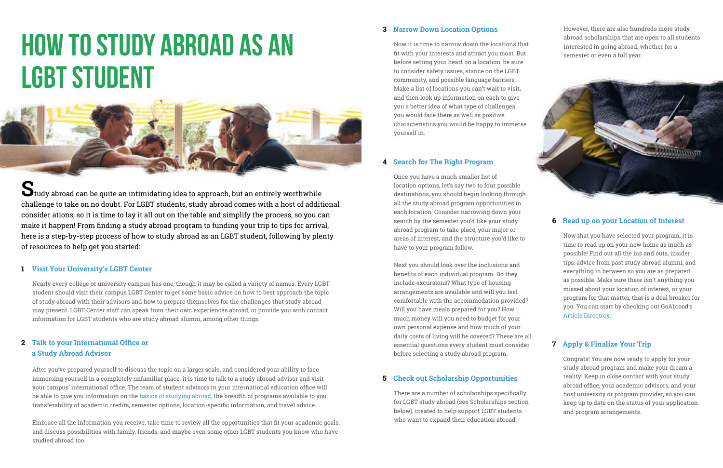# **Narrow Down Location Options 3**

# **Search for The Right Program 4**

# **Check out Scholarship Opportunities 5**

## **Read up on your Location of Interest 6**

# **Apply & Finalize Your Trip 7**

Now it is time to narrow down the locations that fit with your interests and attract you most. But before setting your heart on a location, be sure to consider safety issues, stance on the LGBT community, and possible language barriers. Make a list of locations you can't wait to visit, and then look up information on each to give you a better idea of what type of challenges you would face there as well as positive characteristics you would be happy to immerse yourself in.

Once you have a much smaller list of location options, let's say two to four possible destinations, you should begin looking through all the study abroad program opportunities in each location. Consider narrowing down your search by the semester you'd like your study abroad program to take place, your major or areas of interest, and the structure you'd like to have to your program follow.

Next you should look over the inclusions and benefits of each individual program. Do they include excursions? What type of housing arrangements are available and will you feel comfortable with the accommodation provided? Will you have meals prepared for you? How much money will you need to budget for your own personal expense and how much of your daily costs of living will be covered? These are all essential questions every student must consider before selecting a study abroad program.

There are a number of scholarships specifically for LGBT study abroad (see Scholarships section below), created to help support LGBT students who want to expand their education abroad.

However, there are also hundreds more study abroad scholarships that are open to all students interested in going abroad, whether for a semester or even a full year.



Now that you have selected your program, it is time to read up on your new home as much as possible! Find out all the ins and outs, insider tips, advice from past study abroad alumni, and everything in between so you are as prepared as possible. Make sure there isn't anything you missed about your location of interest, or your program for that matter, that is a deal breaker for you. You can start by checking out GoAbroad's [Article Directory](http://www.goabroad.com/articles).

Congrats! You are now ready to apply for your study abroad program and make your dream a reality! Keep in close contact with your study abroad office, your academic advisors, and your host university or program provider, so you can keep up to date on the status of your application and program arrangements.

# <span id="page-5-0"></span>**How to Study Abroad as an LGBT Student**



**S**tudy abroad can be quite an intimidating idea to approach, but an entirely worthwhile challenge to take on no doubt. For LGBT students, study abroad comes with a host of additional consider ations, so it is time to lay it all out on the table and simplify the process, so you can make it happen! From finding a study abroad program to funding your trip to tips for arrival, here is a step-by-step process of how to study abroad as an LGBT student, following by plenty of resources to help get you started:

# **Visit Your University's LGBT Center 1**

# **Talk to your International Office or 2 a Study Abroad Advisor**

Nearly every college or university campus has one, though it may be called a variety of names. Every LGBT student should visit their campus LGBT Center to get some basic advice on how to best approach the topic of study abroad with their advisors and how to prepare themselves for the challenges that study abroad may present. LGBT Center staff can speak from their own experiences abroad, or provide you with contact information for LGBT students who are study abroad alumni, among other things.

After you've prepared yourself to discuss the topic on a larger scale, and considered your ability to face immersing yourself in a completely unfamiliar place, it is time to talk to a study abroad advisor and visit your campus' international office. The team of student advisors in your international education office will be able to give you information on the [basics of studying abroad](http://www.goabroad.com/articles/study-abroad/study-abroad-101-what-to-know-as-a-first-time-student-abroad), the breadth of programs available to you, transferability of academic credits, semester options, location-specific information, and travel advice.

Embrace all the information you receive, take time to review all the opportunities that fit your academic goals, and discuss possibilities with family, friends, and maybe even some other LGBT students you know who have studied abroad too.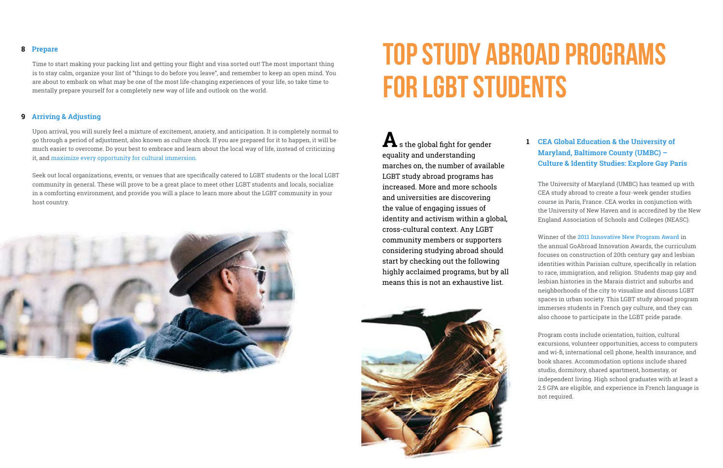# **Top Study Abroad Programs for LGBT Students**

**A**s the global fight for gender equality and understanding marches on, the number of available LGBT study abroad programs has increased. More and more schools and universities are discovering the value of engaging issues of identity and activism within a global, cross-cultural context. Any LGBT community members or supporters considering studying abroad should start by checking out the following highly acclaimed programs, but by all means this is not an exhaustive list.



**[CEA Global Education & the University of](http://www.ceastudyabroad.com/UMBC)  1 [Maryland, Baltimore County \(UMBC\) –](http://www.ceastudyabroad.com/UMBC) [Culture & Identity Studies: Explore Gay Paris](http://www.ceastudyabroad.com/UMBC)**

The University of Maryland (UMBC) has teamed up with CEA study abroad to create a four-week gender studies course in Paris, France. CEA works in conjunction with the University of New Haven and is accredited by the New England Association of Schools and Colleges (NEASC).

Winner of the **[2011 Innovative New Program Award](http://www.goabroad.com/awards/innovation-awards-2011/)** in the annual GoAbroad Innovation Awards, the curriculum focuses on construction of 20th century gay and lesbian identities within Parisian culture, specifically in relation to race, immigration, and religion. Students map gay and lesbian histories in the Marais district and suburbs and neighborhoods of the city to visualize and discuss LGBT spaces in urban society. This LGBT study abroad program immerses students in French gay culture, and they can also choose to participate in the LGBT pride parade.

Program costs include orientation, tuition, cultural excursions, volunteer opportunities, access to computers and wi-fi, international cell phone, health insurance, and book shares. Accommodation options include shared studio, dormitory, shared apartment, homestay, or independent living. High school graduates with at least a 2.5 GPA are eligible, and experience in French language is not required.

## <span id="page-6-0"></span>**Prepare 8**

## **Arriving & Adjusting 9**

Time to start making your packing list and getting your flight and visa sorted out! The most important thing is to stay calm, organize your list of "things to do before you leave", and remember to keep an open mind. You are about to embark on what may be one of the most life-changing experiences of your life, so take time to mentally prepare yourself for a completely new way of life and outlook on the world.

Upon arrival, you will surely feel a mixture of excitement, anxiety, and anticipation. It is completely normal to go through a period of adjustment, also known as culture shock. If you are prepared for it to happen, it will be much easier to overcome. Do your best to embrace and learn about the local way of life, instead of criticizing it, and [maximize every opportunity for cultural immersion](http://www.goabroad.com/articles/study-abroad/how-to-maximize-cultural-immersion-during-short-term-study-abroad-programs).

Seek out local organizations, events, or venues that are specifically catered to LGBT students or the local LGBT community in general. These will prove to be a great place to meet other LGBT students and locals, socialize in a comforting environment, and provide you will a place to learn more about the LGBT community in your host country.

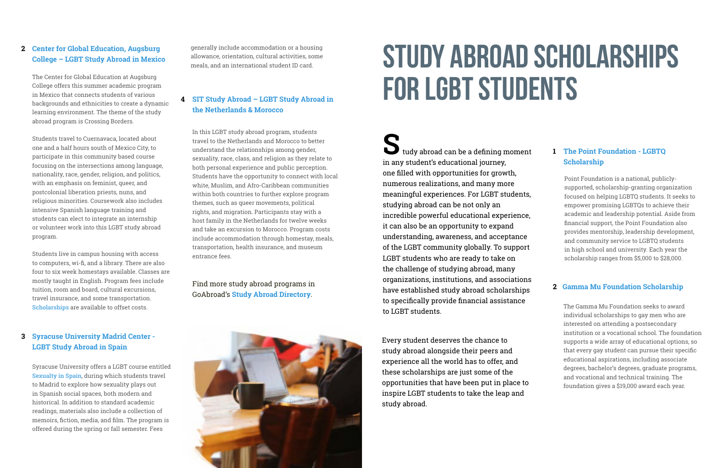# **Study Abroad Scholarships for LGBT Students**

**S**tudy abroad can be a defining moment in any student's educational journey, one filled with opportunities for growth, numerous realizations, and many more meaningful experiences. For LGBT students, studying abroad can be not only an incredible powerful educational experience, it can also be an opportunity to expand understanding, awareness, and acceptance of the LGBT community globally. To support LGBT students who are ready to take on the challenge of studying abroad, many organizations, institutions, and associations have established study abroad scholarships to specifically provide financial assistance to LGBT students.

# **[The Point Foundation - LGBTQ](http://http://www.pointfoundation.org/)  1 [Scholarship](http://http://www.pointfoundation.org/)**

Point Foundation is a national, publiclysupported, scholarship-granting organization focused on helping LGBTQ students. It seeks to empower promising LGBTQs to achieve their academic and leadership potential. Aside from financial support, the Point Foundation also provides mentorship, leadership development, and community service to LGBTQ students in high school and university. Each year the scholarship ranges from \$5,000 to \$28,000.

# **2 [Gamma Mu Foundation Scholarship](http://www.gammamufoundation.org/grant_scholarships/scholarships.asp)**

The Gamma Mu Foundation seeks to award individual scholarships to gay men who are interested on attending a postsecondary institution or a vocational school. The foundation supports a wide array of educational options, so that every gay student can pursue their specific educational aspirations, including associate degrees, bachelor's degrees, graduate programs, and vocational and technical training. The foundation gives a \$19,000 award each year.

Every student deserves the chance to study abroad alongside their peers and experience all the world has to offer, and these scholarships are just some of the opportunities that have been put in place to inspire LGBT students to take the leap and study abroad.

# <span id="page-7-0"></span>**[Center for Global Education, Augsburg](http://www.augsburg.edu/global/semester/mexico-crossing-borders/)  2 [College – LGBT Study Abroad in Mexico](http://www.augsburg.edu/global/semester/mexico-crossing-borders/)**

The Center for Global Education at Augsburg College offers this summer academic program in Mexico that connects students of various backgrounds and ethnicities to create a dynamic learning environment. The theme of the study abroad program is Crossing Borders.

Students travel to Cuernavaca, located about one and a half hours south of Mexico City, to participate in this community based course focusing on the intersections among language, nationality, race, gender, religion, and politics, with an emphasis on feminist, queer, and postcolonial liberation priests, nuns, and religious minorities. Coursework also includes intensive Spanish language training and students can elect to integrate an internship or volunteer work into this LGBT study abroad program.

Students live in campus housing with access to computers, wi-fi, and a library. There are also four to six week homestays available. Classes are mostly taught in English. Program fees include tuition, room and board, cultural excursions, travel insurance, and some transportation. **[Scholarships](http://www.augsburg.edu/global/semester/cost-and-scholarships/)** are available to offset costs.

# **[Syracuse University Madrid Center -](http://suabroad.syr.edu/destinations/madrid/index.html)  3 [LGBT Study Abroad in Spain](http://suabroad.syr.edu/destinations/madrid/index.html)**

Syracuse University offers a LGBT course entitled **[Sexualty in Spain](http://sumadrid.syr.edu/academics/course.php?id=1129)**, during which students travel to Madrid to explore how sexuality plays out in Spanish social spaces, both modern and historical. In addition to standard academic readings, materials also include a collection of memoirs, fiction, media, and film. The program is offered during the spring or fall semester. Fees

generally include accommodation or a housing allowance, orientation, cultural activities, some meals, and an international student ID card.

# **[SIT Study Abroad – LGBT Study Abroad in](http://studyabroad.sit.edu/sn/programs/semester/fall-2015/nlr/)  4 [the Netherlands & Morocco](http://studyabroad.sit.edu/sn/programs/semester/fall-2015/nlr/)**

In this LGBT study abroad program, students travel to the Netherlands and Morocco to better understand the relationships among gender, sexuality, race, class, and religion as they relate to both personal experience and public perception. Students have the opportunity to connect with local white, Muslim, and Afro-Caribbean communities within both countries to further explore program themes, such as queer movements, political rights, and migration. Participants stay with a host family in the Netherlands for twelve weeks and take an excursion to Morocco. Program costs include accommodation through homestay, meals, transportation, health insurance, and museum entrance fees.

Find more study abroad programs in GoAbroad's **[Study Abroad Directory](http://www.goabroad.com/study-abroad)**.

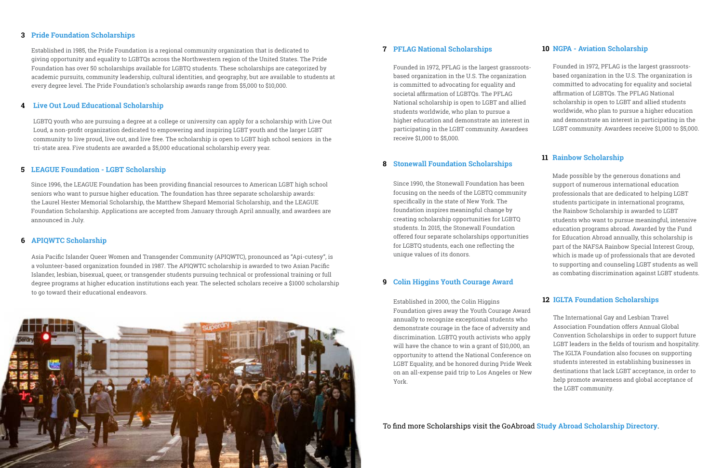# **7 [PFLAG National Scholarships](http://community.pflag.org/Page.aspx?pid=370)**

Founded in 1972, PFLAG is the largest grassrootsbased organization in the U.S. The organization is committed to advocating for equality and societal affirmation of LGBTQs. The PFLAG National scholarship is open to LGBT and allied students worldwide, who plan to pursue a higher education and demonstrate an interest in participating in the LGBT community. Awardees receive \$1,000 to \$5,000.

# **8 [Stonewall Foundation Scholarships](https://stonewallfoundation.org/grants/scholarships)**

Since 1990, the Stonewall Foundation has been focusing on the needs of the LGBTQ community specifically in the state of New York. The foundation inspires meaningful change by creating scholarship opportunities for LGBTQ students. In 2015, the Stonewall Foundation offered four separate scholarships opportunities for LGBTQ students, each one reflecting the unique values of its donors.

# **9 [Colin Higgins Youth Courage Award](http://www.colinhiggins.org/yca/process-timeline/)**

Established in 2000, the Colin Higgins Foundation gives away the Youth Courage Award annually to recognize exceptional students who demonstrate courage in the face of adversity and discrimination. LGBTQ youth activists who apply will have the chance to win a grant of \$10,000, an opportunity to attend the National Conference on LGBT Equality, and be honored during Pride Week on an all-expense paid trip to Los Angeles or New York.

## **10 [NGPA - Aviation Scholarship](http://www.ngpa.org/content.aspx?page_id=22&club_id=189069&module_id=134881)**

Founded in 1972, PFLAG is the largest grassrootsbased organization in the U.S. The organization is committed to advocating for equality and societal affirmation of LGBTQs. The PFLAG National scholarship is open to LGBT and allied students worldwide, who plan to pursue a higher education and demonstrate an interest in participating in the LGBT community. Awardees receive \$1,000 to \$5,000.

## **11 [Rainbow Scholarship](http://www.rainbowsig.org/us-students-abroad/rainbow-scholarship/)**

Made possible by the generous donations and support of numerous international education professionals that are dedicated to helping LGBT students participate in international programs, the Rainbow Scholarship is awarded to LGBT students who want to pursue meaningful, intensive education programs abroad. Awarded by the Fund for Education Abroad annually, this scholarship is part of the NAFSA Rainbow Special Interest Group, which is made up of professionals that are devoted to supporting and counseling LGBT students as well as combating discrimination against LGBT students.

## **12 [IGLTA Foundation Scholarships](http://www.iglta.org/foundation)**

The International Gay and Lesbian Travel Association Foundation offers Annual Global Convention Scholarships in order to support future LGBT leaders in the fields of tourism and hospitality. The IGLTA Foundation also focuses on supporting students interested in establishing businesses in destinations that lack LGBT acceptance, in order to help promote awareness and global acceptance of the LGBT community.

To find more Scholarships visit the GoAbroad **[Study Abroad Scholarship Directory](http://www.goabroad.com/scholarships-abroad)**.

# **3 [Pride Foundation Scholarships](http://www.pridefoundation.org/what-we-do/scholarships/scholarship-funds/)**

Established in 1985, the Pride Foundation is a regional community organization that is dedicated to giving opportunity and equality to LGBTQs across the Northwestern region of the United States. The Pride Foundation has over 50 scholarships available for LGBTQ students. These scholarships are categorized by academic pursuits, community leadership, cultural identities, and geography, but are available to students at every degree level. The Pride Foundation's scholarship awards range from \$5,000 to \$10,000.

# **4 [Live Out Loud Educational Scholarship](http://www.liveoutloud.info/wp/educational_scholarship/)**

LGBTQ youth who are pursuing a degree at a college or university can apply for a scholarship with Live Out Loud, a non-profit organization dedicated to empowering and inspiring LGBT youth and the larger LGBT community to live proud, live out, and live free. The scholarship is open to LGBT high school seniors in the tri-state area. Five students are awarded a \$5,000 educational scholarship every year.

# **5 [LEAGUE Foundation - LGBT Scholarship](http://www.leaguefoundation.org/scholarships/)**

Since 1996, the LEAGUE Foundation has been providing financial resources to American LGBT high school seniors who want to pursue higher education. The foundation has three separate scholarship awards: the Laurel Hester Memorial Scholarship, the Matthew Shepard Memorial Scholarship, and the LEAGUE Foundation Scholarship. Applications are accepted from January through April annually, and awardees are announced in July.

# **6 [APIQWTC Scholarship](http://www.apiqwtc.org/)**

Asia Pacific Islander Queer Women and Transgender Community (APIQWTC), pronounced as "Api-cutesy", is a volunteer-based organization founded in 1987. The APIQWTC scholarship is awarded to two Asian Pacific Islander, lesbian, bisexual, queer, or transgender students pursuing technical or professional training or full degree programs at higher education institutions each year. The selected scholars receive a \$1000 scholarship to go toward their educational endeavors.

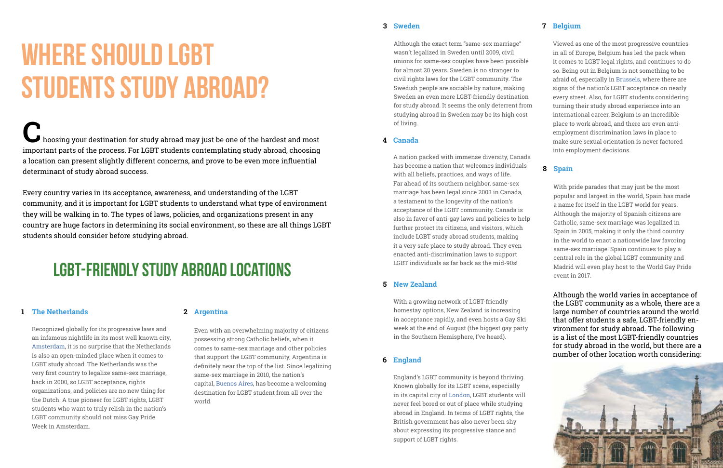# **2 [Argentina](http://www.goabroad.com/study-abroad/search/argentina/study-abroad-1)**

Even with an overwhelming majority of citizens possessing strong Catholic beliefs, when it comes to same-sex marriage and other policies that support the LGBT community, Argentina is definitely near the top of the list. Since legalizing same-sex marriage in 2010, the nation's capital, [Buenos Aires,](http://www.goabroad.com/study-abroad/search/argentina/buenos-aires/study-abroad-1) has become a welcoming destination for LGBT student from all over the world.

## **3 [Sweden](http://www.goabroad.com/study-abroad/search/sweden/study-abroad-1)**

Although the exact term "same-sex marriage" wasn't legalized in Sweden until 2009, civil unions for same-sex couples have been possible for almost 20 years. Sweden is no stranger to civil rights laws for the LGBT community. The Swedish people are sociable by nature, making Sweden an even more LGBT-friendly destination for study abroad. It seems the only deterrent from studying abroad in Sweden may be its high cost of living.

## **4 [Canada](http://www.goabroad.com/study-abroad/search/canada/study-abroad-1)**

A nation packed with immense diversity, Canada has become a nation that welcomes individuals with all beliefs, practices, and ways of life. Far ahead of its southern neighbor, same-sex marriage has been legal since 2003 in Canada, a testament to the longevity of the nation's acceptance of the LGBT community. Canada is also in favor of anti-gay laws and policies to help further protect its citizens, and visitors, which include LGBT study abroad students, making it a very safe place to study abroad. They even enacted anti-discrimination laws to support LGBT individuals as far back as the mid-90s!

# **7 [Belgium](http://www.goabroad.com/study-abroad/search/belgium/study-abroad-1)**

Viewed as one of the most progressive countries in all of Europe, Belgium has led the pack when it comes to LGBT legal rights, and continues to do so. Being out in Belgium is not something to be afraid of, especially in [Brussels](http://www.goabroad.com/study-abroad/search/belgium/brussels/study-abroad-1), where there are signs of the nation's LGBT acceptance on nearly every street. Also, for LGBT students considering turning their study abroad experience into an international career, Belgium is an incredible place to work abroad, and there are even antiemployment discrimination laws in place to make sure sexual orientation is never factored into employment decisions.

# **8 [Spain](http://www.goabroad.com/study-abroad/search/spain/study-abroad-1)**

With pride parades that may just be the most popular and largest in the world, Spain has made a name for itself in the LGBT world for years. Although the majority of Spanish citizens are Catholic, same-sex marriage was legalized in Spain in 2005, making it only the third country in the world to enact a nationwide law favoring same-sex marriage. Spain continues to play a central role in the global LGBT community and Madrid will even play host to the World Gay Pride event in 2017.

# <span id="page-9-0"></span>**Where Should LGBT Students Study Abroad?**

**C**hoosing your destination for study abroad may just be one of the hardest and most important parts of the process. For LGBT students contemplating study abroad, choosing a location can present slightly different concerns, and prove to be even more influential determinant of study abroad success.

Every country varies in its acceptance, awareness, and understanding of the LGBT community, and it is important for LGBT students to understand what type of environment they will be walking in to. The types of laws, policies, and organizations present in any country are huge factors in determining its social environment, so these are all things LGBT students should consider before studying abroad.

> Although the world varies in acceptance of the LGBT community as a whole, there are a large number of countries around the world that offer students a safe, LGBT-friendly environment for study abroad. The following is a list of the most LGBT-friendly countries for study abroad in the world, but there are a number of other location worth considering:



# **1 [The Netherlands](http://www.goabroad.com/study-abroad/search/netherlands/study-abroad-1)**

Recognized globally for its progressive laws and an infamous nightlife in its most well known city, [Amsterdam,](http://www.goabroad.com/study-abroad/search/netherlands/amsterdam/study-abroad-1) it is no surprise that the Netherlands is also an open-minded place when it comes to LGBT study abroad. The Netherlands was the very first country to legalize same-sex marriage, back in 2000, so LGBT acceptance, rights organizations, and policies are no new thing for the Dutch. A true pioneer for LGBT rights, LGBT students who want to truly relish in the nation's LGBT community should not miss Gay Pride Week in Amsterdam.

## **5 [New Zealand](http://www.goabroad.com/study-abroad/search/new-zealand/study-abroad-1)**

With a growing network of LGBT-friendly homestay options, New Zealand is increasing in acceptance rapidly, and even hosts a Gay Ski week at the end of August (the biggest gay party in the Southern Hemisphere, I've heard).

# **6 [England](http://www.goabroad.com/study-abroad/search/england/study-abroad-1)**

England's LGBT community is beyond thriving. Known globally for its LGBT scene, especially in its capital city of [London,](http://www.goabroad.com/study-abroad/search/england/london/study-abroad-1) LGBT students will never feel bored or out of place while studying abroad in England. In terms of LGBT rights, the British government has also never been shy about expressing its progressive stance and support of LGBT rights.

# **LGBT-Friendly Study Abroad Locations**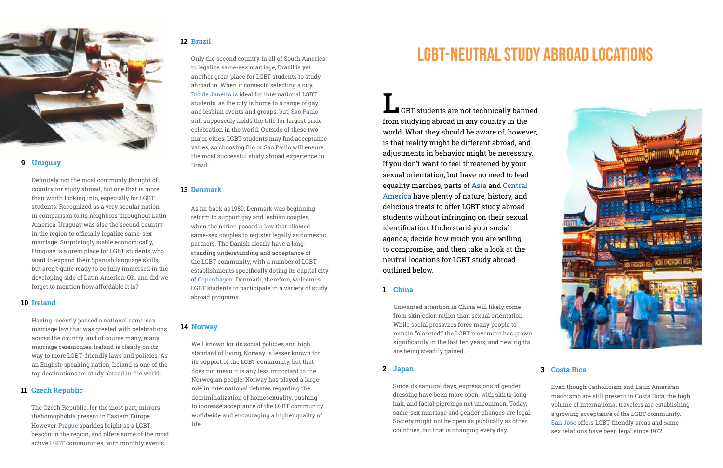<span id="page-10-0"></span>

# **9 [Uruguay](http://www.goabroad.com/study-abroad/search/uruguay/study-abroad-1)**

Definitely not the most commonly thought of country for study abroad, but one that is more than worth looking into, especially for LGBT students. Recognized as a very secular nation in comparison to its neighbors throughout Latin America, Uruguay was also the second country in the region to officially legalize same-sex marriage. Surprisingly stable economically, Uruguay is a great place for LGBT students who want to expand their Spanish language skills, but aren't quite ready to be fully immersed in the developing side of Latin America. Oh, and did we forget to mention how affordable it is?

## **10 [Ireland](http://www.goabroad.com/study-abroad/search/ireland/study-abroad-1)**

Having recently passed a national same-sex marriage law that was greeted with celebrations across the country, and of course many, many marriage ceremonies, Ireland is clearly on its way to more LGBT- friendly laws and policies. As an English-speaking nation, Ireland is one of the top destinations for study abroad in the world.

## **12 [Brazil](http://www.goabroad.com/study-abroad/search/brazil/study-abroad-1)**

Only the second country in all of South America to legalize same-sex marriage, Brazil is yet another great place for LGBT students to study abroad in. When it comes to selecting a city, [Rio de Janeiro](http://www.goabroad.com/study-abroad/search/brazil/rio-de-janeiro/study-abroad-1) is ideal for international LGBT students, as the city is home to a range of gay and lesbian events and groups; but, [Sao Paulo](http://www.goabroad.com/study-abroad/search/brazil/sao-paulo/study-abroad-1) still supposedly holds the title for largest pride celebration in the world. Outside of these two major cities, LGBT students may find acceptance varies, so choosing Rio or Sao Paulo will ensure the most successful study abroad experience in Brazil.

**L** GBT students are not technically banned from studying abroad in any country in the world. What they should be aware of, however, is that reality might be different abroad, and adjustments in behavior might be necessary. If you don't want to feel threatened by your sexual orientation, but have no need to lead equality marches, parts of [Asia](http://www.goabroad.com/study-abroad/search/asia/study-abroad-1) and [Central](http://www.goabroad.com/study-abroad/search/central-america/study-abroad-1)  [America](http://www.goabroad.com/study-abroad/search/central-america/study-abroad-1) have plenty of nature, history, and delicious treats to offer LGBT study abroad students without infringing on their sexual identification. Understand your social agenda, decide how much you are willing to compromise, and then take a look at the neutral locations for LGBT study abroad outlined below.

# **13 [Denmark](http://www.goabroad.com/study-abroad/search/denmark/study-abroad-1)**

As far back as 1989, Denmark was beginning reform to support gay and lesbian couples, when the nation passed a law that allowed same-sex couples to register legally as domestic partners. The Danish clearly have a longstanding understanding and acceptance of the LGBT community, with a number of LGBT establishments specifically doting its capital city of [Copenhagen](http://www.goabroad.com/study-abroad/search/denmark/copenhagen/study-abroad-1). Denmark, therefore, welcomes LGBT students to participate in a variety of study abroad programs.

# **11 [Czech Republic](http://www.goabroad.com/study-abroad/search/czech-republic/study-abroad-1)**

The Czech Republic, for the most part, mirrors thehomophobia present in Eastern Europe. However, [Prague](http://www.goabroad.com/study-abroad/search/czech-republic/prague/study-abroad-1) sparkles bright as a LGBT beacon in the region, and offers some of the most active LGBT communities, with monthly events.

## **[China](http://www.goabroad.com/study-abroad/search/china/study-abroad-1) 1**

# **[Japan](http://www.goabroad.com/study-abroad/search/japan/study-abroad-1) [Costa Rica](http://www.goabroad.com/study-abroad/search/costa-rica/study-abroad-1)**

# **2 3**

Unwanted attention in China will likely come from skin color, rather than sexual orientation. While social pressures force many people to remain "closeted," the LGBT movement has grown significantly in the last ten years, and new rights are being steadily gained.

Since its samurai days, expressions of gender dressing have been more open, with skirts, long hair, and facial piercings not uncommon. Today, same-sex marriage and gender changes are legal. Society might not be open as publically as other countries, but that is changing every day.



Even though Catholicism and Latin American machismo are still present in Costa Rica, the high volume of international travelers are establishing a growing acceptance of the LGBT community. [San Jose](http://www.goabroad.com/study-abroad/search/costa-rica/san-jose/study-abroad-1) offers LGBT-friendly areas and samesex relations have been legal since 1972.

# **14 [Norway](http://www.goabroad.com/study-abroad/search/norway/study-abroad-1)**

Well known for its social policies and high standard of living, Norway is lesser known for its support of the LGBT community, but that does not mean it is any less important to the Norwegian people. Norway has played a large role in international debates regarding the decriminalization of homosexuality, pushing to increase acceptance of the LGBT community worldwide and encouraging a higher quality of life.

# **LGBT-Neutral Study Abroad Locations**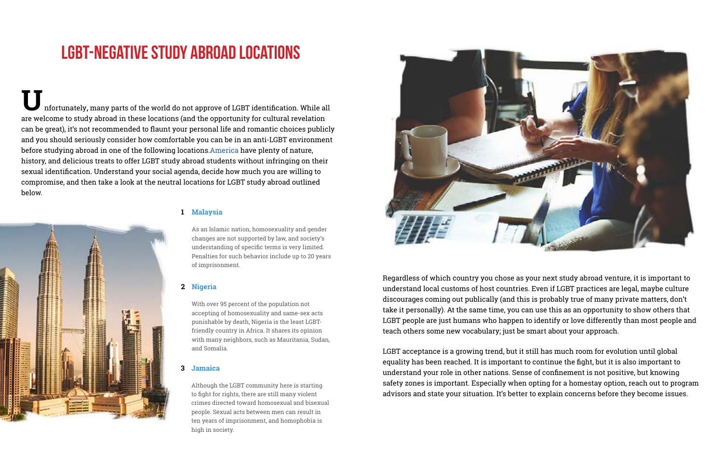**U**nfortunately**,** many parts of the world do not approve of LGBT identification. While all are welcome to study abroad in these locations (and the opportunity for cultural revelation can be great), it's not recommended to flaunt your personal life and romantic choices publicly and you should seriously consider how comfortable you can be in an anti-LGBT environment before studying abroad in one of the following locations[.America](http://www.goabroad.com/study-abroad/search/central-america/study-abroad-1) have plenty of nature, history, and delicious treats to offer LGBT study abroad students without infringing on their sexual identification. Understand your social agenda, decide how much you are willing to compromise, and then take a look at the neutral locations for LGBT study abroad outlined below.



# **[Malaysia](http://www.goabroad.com/study-abroad/search/malaysia/study-abroad-1) 1**

# **Nigeria 2**

### **[Jamaica](http://www.goabroad.com/study-abroad/search/jamaica/study-abroad-1) 3**

As an Islamic nation, homosexuality and gender changes are not supported by law, and society's understanding of specific terms is very limited. Penalties for such behavior include up to 20 years of imprisonment.

With over 95 percent of the population not accepting of homosexuality and same-sex acts punishable by death, Nigeria is the least LGBTfriendly country in Africa. It shares its opinion with many neighbors, such as Mauritania, Sudan, and Somalia.

Although the LGBT community here is starting to fight for rights, there are still many violent crimes directed toward homosexual and bisexual people. Sexual acts between men can result in ten years of imprisonment, and homophobia is high in society.



LGBT acceptance is a growing trend, but it still has much room for evolution until global equality has been reached. It is important to continue the fight, but it is also important to understand your role in other nations. Sense of confinement is not positive, but knowing safety zones is important. Especially when opting for a homestay option, reach out to program advisors and state your situation. It's better to explain concerns before they become issues.

Regardless of which country you chose as your next study abroad venture, it is important to understand local customs of host countries. Even if LGBT practices are legal, maybe culture discourages coming out publically (and this is probably true of many private matters, don't take it personally). At the same time, you can use this as an opportunity to show others that LGBT people are just humans who happen to identify or love differently than most people and teach others some new vocabulary; just be smart about your approach.

# **LGBT-Negative Study Abroad Locations**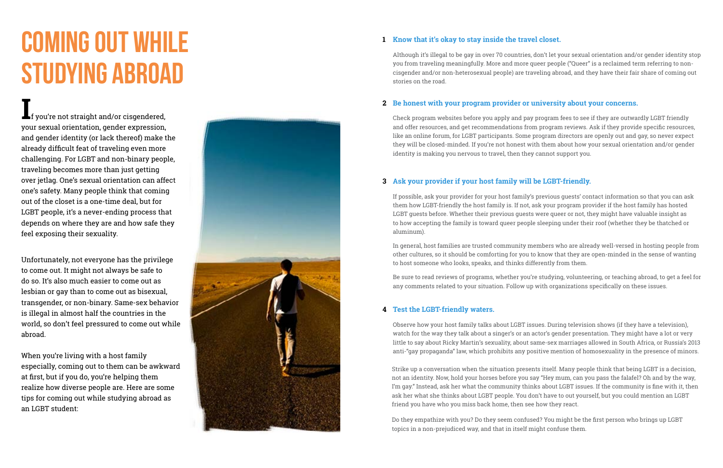# <span id="page-12-0"></span>**Coming Out While Studying Abroad**

**I**f you're not straight and/or cisgendered, your sexual orientation, gender expression, and gender identity (or lack thereof) make the already difficult feat of traveling even more challenging. For LGBT and non-binary people, traveling becomes more than just getting over jetlag. One's sexual orientation can affect one's safety. Many people think that coming out of the closet is a one-time deal, but for LGBT people, it's a never-ending process that depends on where they are and how safe they feel exposing their sexuality.

Unfortunately, not everyone has the privilege to come out. It might not always be safe to do so. It's also much easier to come out as lesbian or gay than to come out as bisexual, transgender, or non-binary. Same-sex behavior is illegal in almost half the countries in the world, so don't feel pressured to come out while abroad.

When you're living with a host family especially, coming out to them can be awkward at first, but if you do, you're helping them realize how diverse people are. Here are some tips for coming out while studying abroad as an LGBT student:



# **Know that it's okay to stay inside the travel closet.**

# **Be honest with your program provider or university about your concerns.**

# **Ask your provider if your host family will be LGBT-friendly. 1234**

# **Test the LGBT-friendly waters.**

Although it's illegal to be gay in over 70 countries, don't let your sexual orientation and/or gender identity stop you from traveling meaningfully. More and more queer people ("Queer" is a reclaimed term referring to noncisgender and/or non-heterosexual people) are traveling abroad, and they have their fair share of coming out stories on the road.

Check program websites before you apply and pay program fees to see if they are outwardly LGBT friendly and offer resources, and get recommendations from program reviews. Ask if they provide specific resources, like an online forum, for LGBT participants. Some program directors are openly out and gay, so never expect they will be closed-minded. If you're not honest with them about how your sexual orientation and/or gender identity is making you nervous to travel, then they cannot support you.

If possible, ask your provider for your host family's previous guests' contact information so that you can ask them how LGBT-friendly the host family is. If not, ask your program provider if the host family has hosted LGBT guests before. Whether their previous guests were queer or not, they might have valuable insight as to how accepting the family is toward queer people sleeping under their roof (whether they be thatched or aluminum).

Observe how your host family talks about LGBT issues. During television shows (if they have a television), watch for the way they talk about a singer's or an actor's gender presentation. They might have a lot or very little to say about Ricky Martin's sexuality, about same-sex marriages allowed in South Africa, or Russia's 2013 anti-"gay propaganda" law, which prohibits any positive mention of homosexuality in the presence of minors.

In general, host families are trusted community members who are already well-versed in hosting people from other cultures, so it should be comforting for you to know that they are open-minded in the sense of wanting to host someone who looks, speaks, and thinks differently from them.

Strike up a conversation when the situation presents itself. Many people think that being LGBT is a decision, not an identity. Now, hold your horses before you say "Hey mum, can you pass the falafel? Oh and by the way, I'm gay." Instead, ask her what the community thinks about LGBT issues. If the community is fine with it, then ask her what she thinks about LGBT people. You don't have to out yourself, but you could mention an LGBT friend you have who you miss back home, then see how they react.

Be sure to read reviews of programs, whether you're studying, volunteering, or teaching abroad, to get a feel for any comments related to your situation. Follow up with organizations specifically on these issues.

Do they empathize with you? Do they seem confused? You might be the first person who brings up LGBT topics in a non-prejudiced way, and that in itself might confuse them.